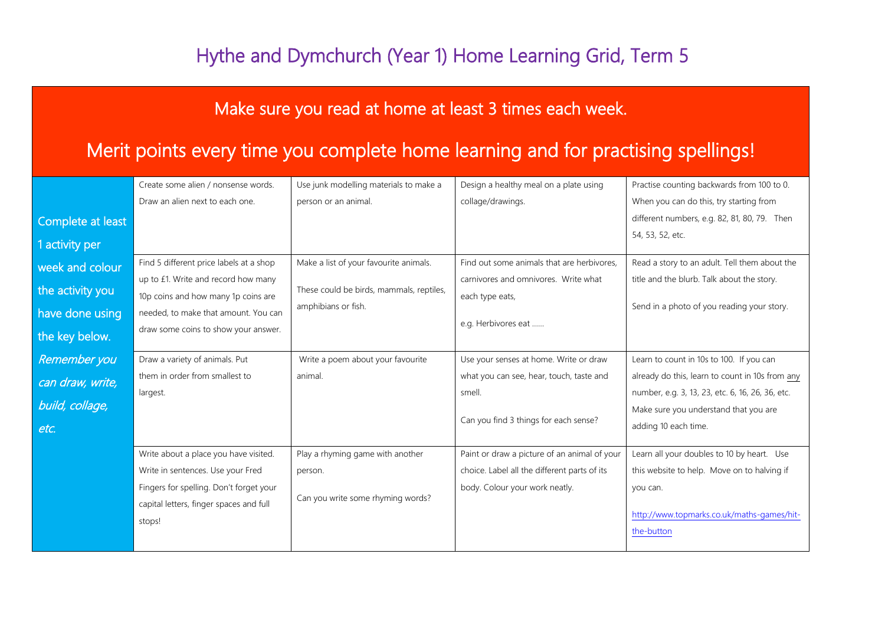### Hythe and Dymchurch (Year 1) Home Learning Grid, Term 5

#### Make sure you read at home at least 3 times each week.

#### Merit points every time you complete home learning and for practising spellings!

|                   | Create some alien / nonsense words.     | Use junk modelling materials to make a   | Design a healthy meal on a plate using       | Practise counting backwards from 100 to 0.       |
|-------------------|-----------------------------------------|------------------------------------------|----------------------------------------------|--------------------------------------------------|
|                   | Draw an alien next to each one.         | person or an animal.                     | collage/drawings.                            | When you can do this, try starting from          |
| Complete at least |                                         |                                          |                                              | different numbers, e.g. 82, 81, 80, 79. Then     |
| 1 activity per    |                                         |                                          |                                              | 54, 53, 52, etc.                                 |
| week and colour   | Find 5 different price labels at a shop | Make a list of your favourite animals.   | Find out some animals that are herbivores,   | Read a story to an adult. Tell them about the    |
|                   | up to £1. Write and record how many     |                                          | carnivores and omnivores. Write what         | title and the blurb. Talk about the story.       |
| the activity you  | 10p coins and how many 1p coins are     | These could be birds, mammals, reptiles, | each type eats,                              |                                                  |
| have done using   | needed, to make that amount. You can    | amphibians or fish.                      |                                              | Send in a photo of you reading your story.       |
| the key below.    | draw some coins to show your answer.    |                                          | e.g. Herbivores eat                          |                                                  |
| Remember you      | Draw a variety of animals. Put          | Write a poem about your favourite        | Use your senses at home. Write or draw       | Learn to count in 10s to 100. If you can         |
| can draw, write,  | them in order from smallest to          | animal.                                  | what you can see, hear, touch, taste and     | already do this, learn to count in 10s from any  |
|                   | largest.                                |                                          | smell.                                       | number, e.g. 3, 13, 23, etc. 6, 16, 26, 36, etc. |
| build, collage,   |                                         |                                          |                                              | Make sure you understand that you are            |
| etc.              |                                         |                                          | Can you find 3 things for each sense?        | adding 10 each time.                             |
|                   | Write about a place you have visited.   | Play a rhyming game with another         | Paint or draw a picture of an animal of your | Learn all your doubles to 10 by heart. Use       |
|                   | Write in sentences. Use your Fred       | person.                                  | choice. Label all the different parts of its | this website to help. Move on to halving if      |
|                   | Fingers for spelling. Don't forget your |                                          | body. Colour your work neatly.               | you can.                                         |
|                   | capital letters, finger spaces and full | Can you write some rhyming words?        |                                              |                                                  |
|                   | stops!                                  |                                          |                                              | http://www.topmarks.co.uk/maths-games/hit-       |
|                   |                                         |                                          |                                              | the-button                                       |
|                   |                                         |                                          |                                              |                                                  |